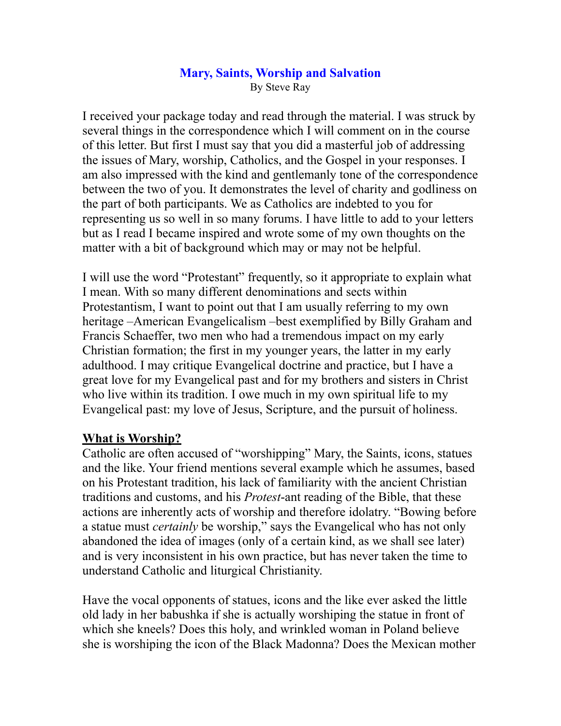#### **Mary, Saints, Worship and Salvation** By Steve Ray

I received your package today and read through the material. I was struck by several things in the correspondence which I will comment on in the course of this letter. But first I must say that you did a masterful job of addressing the issues of Mary, worship, Catholics, and the Gospel in your responses. I am also impressed with the kind and gentlemanly tone of the correspondence between the two of you. It demonstrates the level of charity and godliness on the part of both participants. We as Catholics are indebted to you for representing us so well in so many forums. I have little to add to your letters but as I read I became inspired and wrote some of my own thoughts on the matter with a bit of background which may or may not be helpful.

I will use the word "Protestant" frequently, so it appropriate to explain what I mean. With so many different denominations and sects within Protestantism, I want to point out that I am usually referring to my own heritage –American Evangelicalism –best exemplified by Billy Graham and Francis Schaeffer, two men who had a tremendous impact on my early Christian formation; the first in my younger years, the latter in my early adulthood. I may critique Evangelical doctrine and practice, but I have a great love for my Evangelical past and for my brothers and sisters in Christ who live within its tradition. I owe much in my own spiritual life to my Evangelical past: my love of Jesus, Scripture, and the pursuit of holiness.

#### **What is Worship?**

Catholic are often accused of "worshipping" Mary, the Saints, icons, statues and the like. Your friend mentions several example which he assumes, based on his Protestant tradition, his lack of familiarity with the ancient Christian traditions and customs, and his *Protest*-ant reading of the Bible, that these actions are inherently acts of worship and therefore idolatry. "Bowing before a statue must *certainly* be worship," says the Evangelical who has not only abandoned the idea of images (only of a certain kind, as we shall see later) and is very inconsistent in his own practice, but has never taken the time to understand Catholic and liturgical Christianity.

Have the vocal opponents of statues, icons and the like ever asked the little old lady in her babushka if she is actually worshiping the statue in front of which she kneels? Does this holy, and wrinkled woman in Poland believe she is worshiping the icon of the Black Madonna? Does the Mexican mother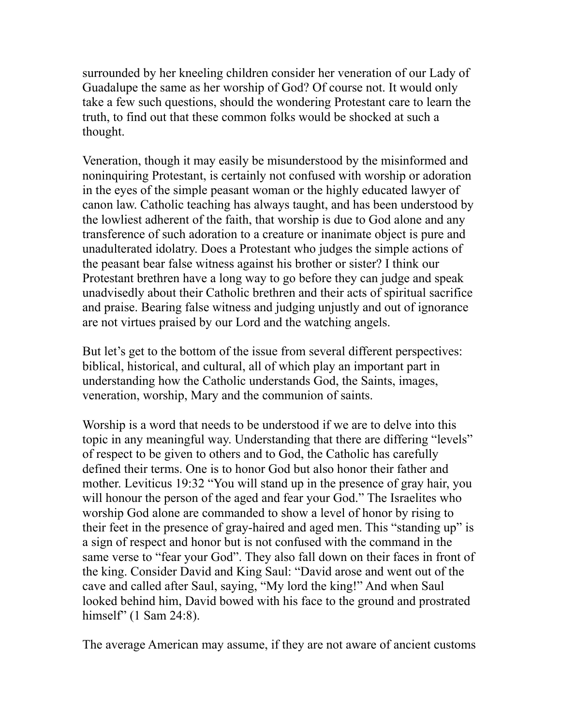surrounded by her kneeling children consider her veneration of our Lady of Guadalupe the same as her worship of God? Of course not. It would only take a few such questions, should the wondering Protestant care to learn the truth, to find out that these common folks would be shocked at such a thought.

Veneration, though it may easily be misunderstood by the misinformed and noninquiring Protestant, is certainly not confused with worship or adoration in the eyes of the simple peasant woman or the highly educated lawyer of canon law. Catholic teaching has always taught, and has been understood by the lowliest adherent of the faith, that worship is due to God alone and any transference of such adoration to a creature or inanimate object is pure and unadulterated idolatry. Does a Protestant who judges the simple actions of the peasant bear false witness against his brother or sister? I think our Protestant brethren have a long way to go before they can judge and speak unadvisedly about their Catholic brethren and their acts of spiritual sacrifice and praise. Bearing false witness and judging unjustly and out of ignorance are not virtues praised by our Lord and the watching angels.

But let's get to the bottom of the issue from several different perspectives: biblical, historical, and cultural, all of which play an important part in understanding how the Catholic understands God, the Saints, images, veneration, worship, Mary and the communion of saints.

Worship is a word that needs to be understood if we are to delve into this topic in any meaningful way. Understanding that there are differing "levels" of respect to be given to others and to God, the Catholic has carefully defined their terms. One is to honor God but also honor their father and mother. Leviticus 19:32 "You will stand up in the presence of gray hair, you will honour the person of the aged and fear your God." The Israelites who worship God alone are commanded to show a level of honor by rising to their feet in the presence of gray-haired and aged men. This "standing up" is a sign of respect and honor but is not confused with the command in the same verse to "fear your God". They also fall down on their faces in front of the king. Consider David and King Saul: "David arose and went out of the cave and called after Saul, saying, "My lord the king!" And when Saul looked behind him, David bowed with his face to the ground and prostrated himself" (1 Sam 24:8).

The average American may assume, if they are not aware of ancient customs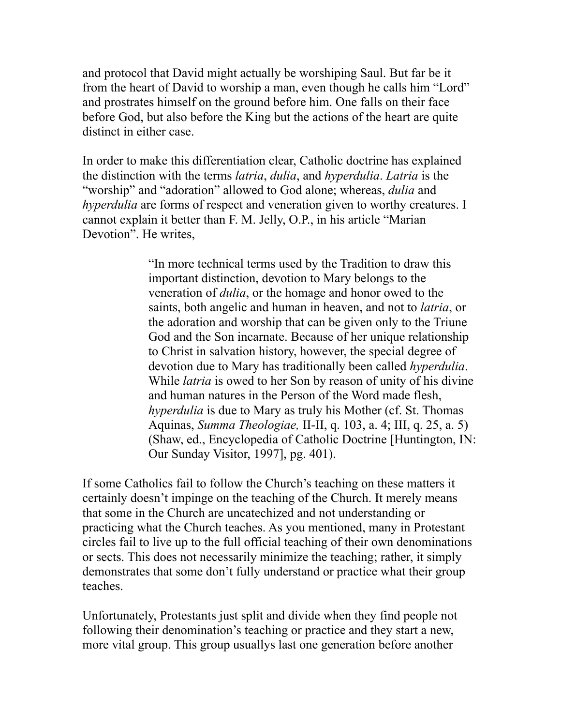and protocol that David might actually be worshiping Saul. But far be it from the heart of David to worship a man, even though he calls him "Lord" and prostrates himself on the ground before him. One falls on their face before God, but also before the King but the actions of the heart are quite distinct in either case.

In order to make this differentiation clear, Catholic doctrine has explained the distinction with the terms *latria*, *dulia*, and *hyperdulia*. *Latria* is the "worship" and "adoration" allowed to God alone; whereas, *dulia* and *hyperdulia* are forms of respect and veneration given to worthy creatures. I cannot explain it better than F. M. Jelly, O.P., in his article "Marian Devotion". He writes,

> "In more technical terms used by the Tradition to draw this important distinction, devotion to Mary belongs to the veneration of *dulia*, or the homage and honor owed to the saints, both angelic and human in heaven, and not to *latria*, or the adoration and worship that can be given only to the Triune God and the Son incarnate. Because of her unique relationship to Christ in salvation history, however, the special degree of devotion due to Mary has traditionally been called *hyperdulia*. While *latria* is owed to her Son by reason of unity of his divine and human natures in the Person of the Word made flesh, *hyperdulia* is due to Mary as truly his Mother (cf. St. Thomas Aquinas, *Summa Theologiae,* II-II, q. 103, a. 4; III, q. 25, a. 5) (Shaw, ed., Encyclopedia of Catholic Doctrine [Huntington, IN: Our Sunday Visitor, 1997], pg. 401).

If some Catholics fail to follow the Church's teaching on these matters it certainly doesn't impinge on the teaching of the Church. It merely means that some in the Church are uncatechized and not understanding or practicing what the Church teaches. As you mentioned, many in Protestant circles fail to live up to the full official teaching of their own denominations or sects. This does not necessarily minimize the teaching; rather, it simply demonstrates that some don't fully understand or practice what their group teaches.

Unfortunately, Protestants just split and divide when they find people not following their denomination's teaching or practice and they start a new, more vital group. This group usuallys last one generation before another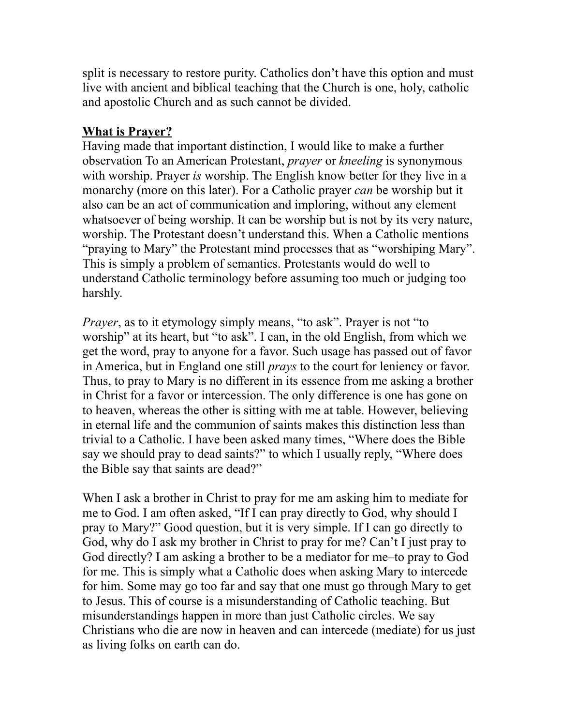split is necessary to restore purity. Catholics don't have this option and must live with ancient and biblical teaching that the Church is one, holy, catholic and apostolic Church and as such cannot be divided.

## **What is Prayer?**

Having made that important distinction, I would like to make a further observation To an American Protestant, *prayer* or *kneeling* is synonymous with worship. Prayer *is* worship. The English know better for they live in a monarchy (more on this later). For a Catholic prayer *can* be worship but it also can be an act of communication and imploring, without any element whatsoever of being worship. It can be worship but is not by its very nature, worship. The Protestant doesn't understand this. When a Catholic mentions "praying to Mary" the Protestant mind processes that as "worshiping Mary". This is simply a problem of semantics. Protestants would do well to understand Catholic terminology before assuming too much or judging too harshly.

*Prayer*, as to it etymology simply means, "to ask". Prayer is not "to worship" at its heart, but "to ask". I can, in the old English, from which we get the word, pray to anyone for a favor. Such usage has passed out of favor in America, but in England one still *prays* to the court for leniency or favor. Thus, to pray to Mary is no different in its essence from me asking a brother in Christ for a favor or intercession. The only difference is one has gone on to heaven, whereas the other is sitting with me at table. However, believing in eternal life and the communion of saints makes this distinction less than trivial to a Catholic. I have been asked many times, "Where does the Bible say we should pray to dead saints?" to which I usually reply, "Where does the Bible say that saints are dead?"

When I ask a brother in Christ to pray for me am asking him to mediate for me to God. I am often asked, "If I can pray directly to God, why should I pray to Mary?" Good question, but it is very simple. If I can go directly to God, why do I ask my brother in Christ to pray for me? Can't I just pray to God directly? I am asking a brother to be a mediator for me–to pray to God for me. This is simply what a Catholic does when asking Mary to intercede for him. Some may go too far and say that one must go through Mary to get to Jesus. This of course is a misunderstanding of Catholic teaching. But misunderstandings happen in more than just Catholic circles. We say Christians who die are now in heaven and can intercede (mediate) for us just as living folks on earth can do.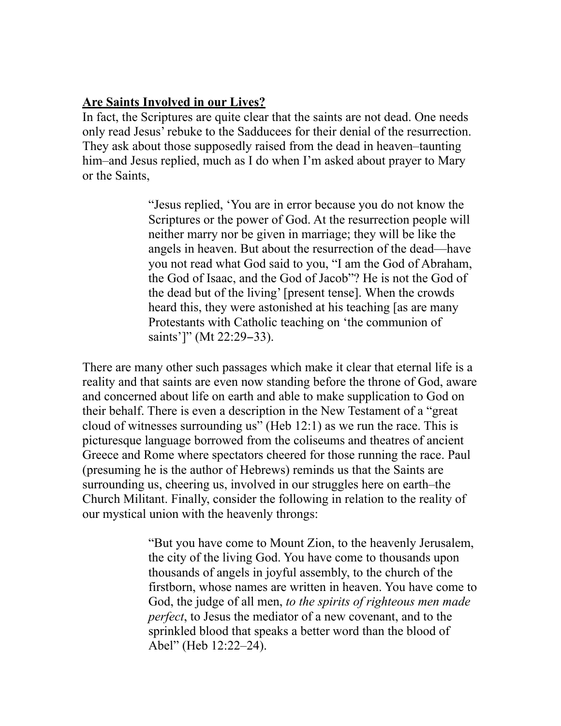### **Are Saints Involved in our Lives?**

In fact, the Scriptures are quite clear that the saints are not dead. One needs only read Jesus' rebuke to the Sadducees for their denial of the resurrection. They ask about those supposedly raised from the dead in heaven–taunting him–and Jesus replied, much as I do when I'm asked about prayer to Mary or the Saints,

> "Jesus replied, 'You are in error because you do not know the Scriptures or the power of God. At the resurrection people will neither marry nor be given in marriage; they will be like the angels in heaven. But about the resurrection of the dead—have you not read what God said to you, "I am the God of Abraham, the God of Isaac, and the God of Jacob"? He is not the God of the dead but of the living' [present tense]. When the crowds heard this, they were astonished at his teaching [as are many Protestants with Catholic teaching on 'the communion of saints']" (Mt 22:29–33).

There are many other such passages which make it clear that eternal life is a reality and that saints are even now standing before the throne of God, aware and concerned about life on earth and able to make supplication to God on their behalf. There is even a description in the New Testament of a "great cloud of witnesses surrounding us" (Heb 12:1) as we run the race. This is picturesque language borrowed from the coliseums and theatres of ancient Greece and Rome where spectators cheered for those running the race. Paul (presuming he is the author of Hebrews) reminds us that the Saints are surrounding us, cheering us, involved in our struggles here on earth–the Church Militant. Finally, consider the following in relation to the reality of our mystical union with the heavenly throngs:

> "But you have come to Mount Zion, to the heavenly Jerusalem, the city of the living God. You have come to thousands upon thousands of angels in joyful assembly, to the church of the firstborn, whose names are written in heaven. You have come to God, the judge of all men, *to the spirits of righteous men made perfect*, to Jesus the mediator of a new covenant, and to the sprinkled blood that speaks a better word than the blood of Abel" (Heb 12:22–24).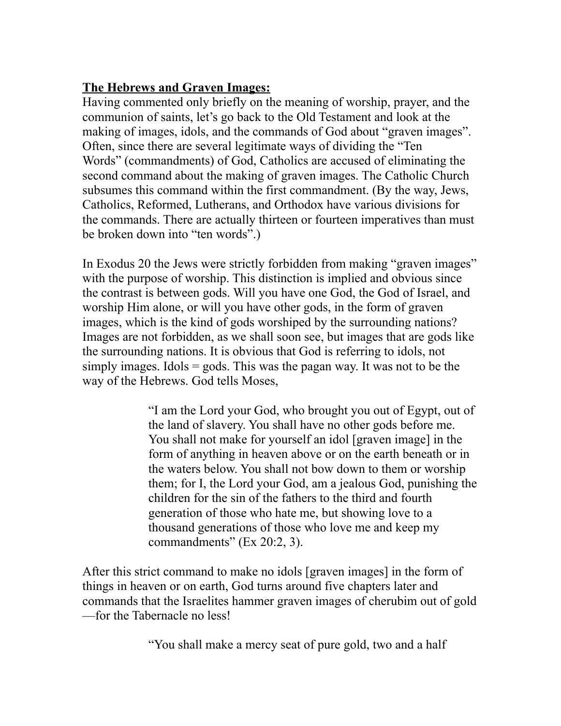# **The Hebrews and Graven Images:**

Having commented only briefly on the meaning of worship, prayer, and the communion of saints, let's go back to the Old Testament and look at the making of images, idols, and the commands of God about "graven images". Often, since there are several legitimate ways of dividing the "Ten Words" (commandments) of God, Catholics are accused of eliminating the second command about the making of graven images. The Catholic Church subsumes this command within the first commandment. (By the way, Jews, Catholics, Reformed, Lutherans, and Orthodox have various divisions for the commands. There are actually thirteen or fourteen imperatives than must be broken down into "ten words".)

In Exodus 20 the Jews were strictly forbidden from making "graven images" with the purpose of worship. This distinction is implied and obvious since the contrast is between gods. Will you have one God, the God of Israel, and worship Him alone, or will you have other gods, in the form of graven images, which is the kind of gods worshiped by the surrounding nations? Images are not forbidden, as we shall soon see, but images that are gods like the surrounding nations. It is obvious that God is referring to idols, not simply images. Idols = gods. This was the pagan way. It was not to be the way of the Hebrews. God tells Moses,

> "I am the Lord your God, who brought you out of Egypt, out of the land of slavery. You shall have no other gods before me. You shall not make for yourself an idol [graven image] in the form of anything in heaven above or on the earth beneath or in the waters below. You shall not bow down to them or worship them; for I, the Lord your God, am a jealous God, punishing the children for the sin of the fathers to the third and fourth generation of those who hate me, but showing love to a thousand generations of those who love me and keep my commandments" (Ex 20:2, 3).

After this strict command to make no idols [graven images] in the form of things in heaven or on earth, God turns around five chapters later and commands that the Israelites hammer graven images of cherubim out of gold —for the Tabernacle no less!

"You shall make a mercy seat of pure gold, two and a half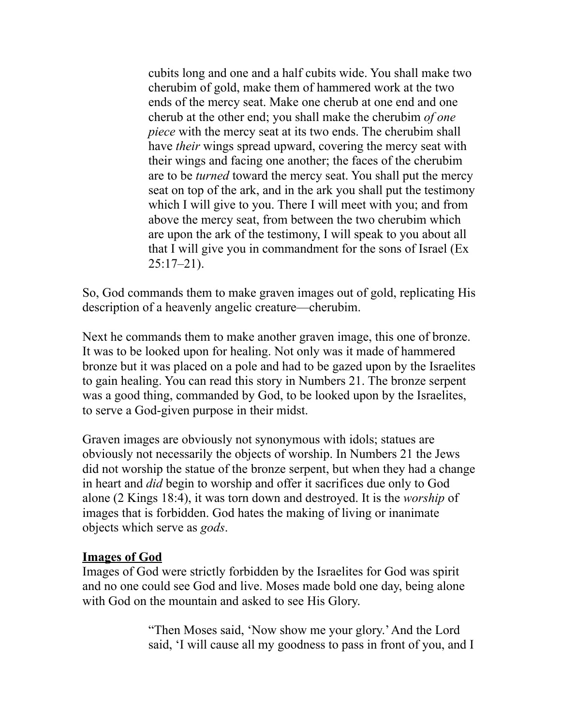cubits long and one and a half cubits wide. You shall make two cherubim of gold, make them of hammered work at the two ends of the mercy seat. Make one cherub at one end and one cherub at the other end; you shall make the cherubim *of one piece* with the mercy seat at its two ends. The cherubim shall have *their* wings spread upward, covering the mercy seat with their wings and facing one another; the faces of the cherubim are to be *turned* toward the mercy seat. You shall put the mercy seat on top of the ark, and in the ark you shall put the testimony which I will give to you. There I will meet with you; and from above the mercy seat, from between the two cherubim which are upon the ark of the testimony, I will speak to you about all that I will give you in commandment for the sons of Israel (Ex 25:17–21).

So, God commands them to make graven images out of gold, replicating His description of a heavenly angelic creature—cherubim.

Next he commands them to make another graven image, this one of bronze. It was to be looked upon for healing. Not only was it made of hammered bronze but it was placed on a pole and had to be gazed upon by the Israelites to gain healing. You can read this story in Numbers 21. The bronze serpent was a good thing, commanded by God, to be looked upon by the Israelites, to serve a God-given purpose in their midst.

Graven images are obviously not synonymous with idols; statues are obviously not necessarily the objects of worship. In Numbers 21 the Jews did not worship the statue of the bronze serpent, but when they had a change in heart and *did* begin to worship and offer it sacrifices due only to God alone (2 Kings 18:4), it was torn down and destroyed. It is the *worship* of images that is forbidden. God hates the making of living or inanimate objects which serve as *gods*.

#### **Images of God**

Images of God were strictly forbidden by the Israelites for God was spirit and no one could see God and live. Moses made bold one day, being alone with God on the mountain and asked to see His Glory.

> "Then Moses said, 'Now show me your glory.' And the Lord said, 'I will cause all my goodness to pass in front of you, and I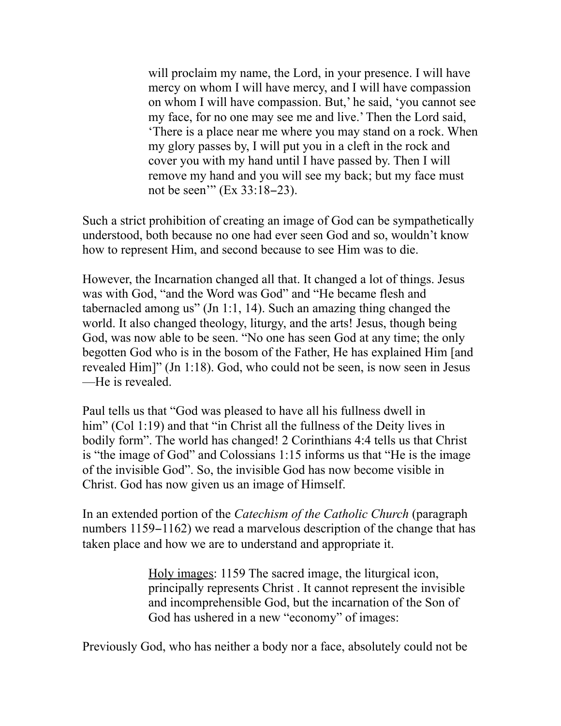will proclaim my name, the Lord, in your presence. I will have mercy on whom I will have mercy, and I will have compassion on whom I will have compassion. But,' he said, 'you cannot see my face, for no one may see me and live.' Then the Lord said, 'There is a place near me where you may stand on a rock. When my glory passes by, I will put you in a cleft in the rock and cover you with my hand until I have passed by. Then I will remove my hand and you will see my back; but my face must not be seen'" (Ex 33:18−23).

Such a strict prohibition of creating an image of God can be sympathetically understood, both because no one had ever seen God and so, wouldn't know how to represent Him, and second because to see Him was to die.

However, the Incarnation changed all that. It changed a lot of things. Jesus was with God, "and the Word was God" and "He became flesh and tabernacled among us" (Jn 1:1, 14). Such an amazing thing changed the world. It also changed theology, liturgy, and the arts! Jesus, though being God, was now able to be seen. "No one has seen God at any time; the only begotten God who is in the bosom of the Father, He has explained Him [and revealed Him]" (Jn 1:18). God, who could not be seen, is now seen in Jesus —He is revealed.

Paul tells us that "God was pleased to have all his fullness dwell in him" (Col 1:19) and that "in Christ all the fullness of the Deity lives in bodily form". The world has changed! 2 Corinthians 4:4 tells us that Christ is "the image of God" and Colossians 1:15 informs us that "He is the image of the invisible God". So, the invisible God has now become visible in Christ. God has now given us an image of Himself.

In an extended portion of the *Catechism of the Catholic Church* (paragraph numbers 1159−1162) we read a marvelous description of the change that has taken place and how we are to understand and appropriate it.

> Holy images: 1159 The sacred image, the liturgical icon, principally represents Christ . It cannot represent the invisible and incomprehensible God, but the incarnation of the Son of God has ushered in a new "economy" of images:

Previously God, who has neither a body nor a face, absolutely could not be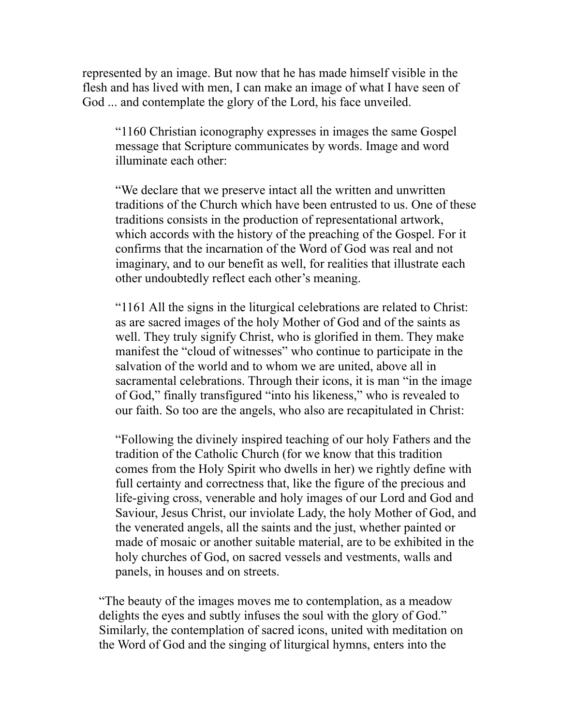represented by an image. But now that he has made himself visible in the flesh and has lived with men, I can make an image of what I have seen of God ... and contemplate the glory of the Lord, his face unveiled.

"1160 Christian iconography expresses in images the same Gospel message that Scripture communicates by words. Image and word illuminate each other:

"We declare that we preserve intact all the written and unwritten traditions of the Church which have been entrusted to us. One of these traditions consists in the production of representational artwork, which accords with the history of the preaching of the Gospel. For it confirms that the incarnation of the Word of God was real and not imaginary, and to our benefit as well, for realities that illustrate each other undoubtedly reflect each other's meaning.

"1161 All the signs in the liturgical celebrations are related to Christ: as are sacred images of the holy Mother of God and of the saints as well. They truly signify Christ, who is glorified in them. They make manifest the "cloud of witnesses" who continue to participate in the salvation of the world and to whom we are united, above all in sacramental celebrations. Through their icons, it is man "in the image of God," finally transfigured "into his likeness," who is revealed to our faith. So too are the angels, who also are recapitulated in Christ:

"Following the divinely inspired teaching of our holy Fathers and the tradition of the Catholic Church (for we know that this tradition comes from the Holy Spirit who dwells in her) we rightly define with full certainty and correctness that, like the figure of the precious and life-giving cross, venerable and holy images of our Lord and God and Saviour, Jesus Christ, our inviolate Lady, the holy Mother of God, and the venerated angels, all the saints and the just, whether painted or made of mosaic or another suitable material, are to be exhibited in the holy churches of God, on sacred vessels and vestments, walls and panels, in houses and on streets.

"The beauty of the images moves me to contemplation, as a meadow delights the eyes and subtly infuses the soul with the glory of God." Similarly, the contemplation of sacred icons, united with meditation on the Word of God and the singing of liturgical hymns, enters into the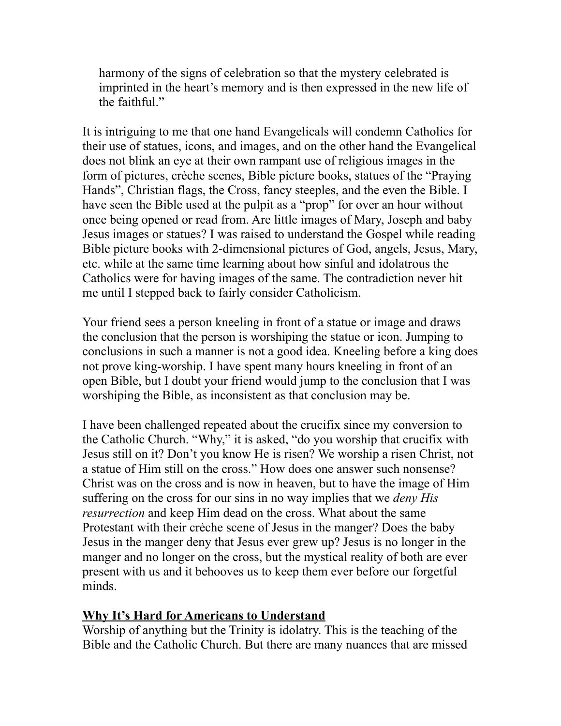harmony of the signs of celebration so that the mystery celebrated is imprinted in the heart's memory and is then expressed in the new life of the faithful."

It is intriguing to me that one hand Evangelicals will condemn Catholics for their use of statues, icons, and images, and on the other hand the Evangelical does not blink an eye at their own rampant use of religious images in the form of pictures, crèche scenes, Bible picture books, statues of the "Praying Hands", Christian flags, the Cross, fancy steeples, and the even the Bible. I have seen the Bible used at the pulpit as a "prop" for over an hour without once being opened or read from. Are little images of Mary, Joseph and baby Jesus images or statues? I was raised to understand the Gospel while reading Bible picture books with 2-dimensional pictures of God, angels, Jesus, Mary, etc. while at the same time learning about how sinful and idolatrous the Catholics were for having images of the same. The contradiction never hit me until I stepped back to fairly consider Catholicism.

Your friend sees a person kneeling in front of a statue or image and draws the conclusion that the person is worshiping the statue or icon. Jumping to conclusions in such a manner is not a good idea. Kneeling before a king does not prove king-worship. I have spent many hours kneeling in front of an open Bible, but I doubt your friend would jump to the conclusion that I was worshiping the Bible, as inconsistent as that conclusion may be.

I have been challenged repeated about the crucifix since my conversion to the Catholic Church. "Why," it is asked, "do you worship that crucifix with Jesus still on it? Don't you know He is risen? We worship a risen Christ, not a statue of Him still on the cross." How does one answer such nonsense? Christ was on the cross and is now in heaven, but to have the image of Him suffering on the cross for our sins in no way implies that we *deny His resurrection* and keep Him dead on the cross. What about the same Protestant with their crèche scene of Jesus in the manger? Does the baby Jesus in the manger deny that Jesus ever grew up? Jesus is no longer in the manger and no longer on the cross, but the mystical reality of both are ever present with us and it behooves us to keep them ever before our forgetful minds.

#### **Why It's Hard for Americans to Understand**

Worship of anything but the Trinity is idolatry. This is the teaching of the Bible and the Catholic Church. But there are many nuances that are missed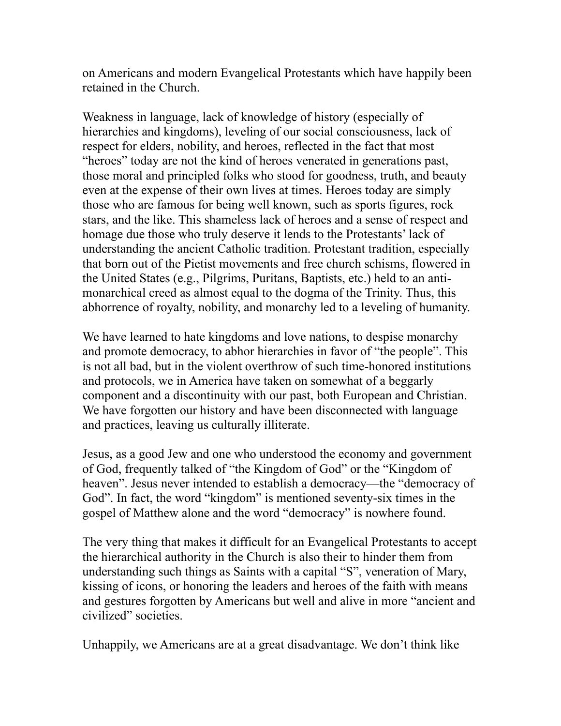on Americans and modern Evangelical Protestants which have happily been retained in the Church.

Weakness in language, lack of knowledge of history (especially of hierarchies and kingdoms), leveling of our social consciousness, lack of respect for elders, nobility, and heroes, reflected in the fact that most "heroes" today are not the kind of heroes venerated in generations past, those moral and principled folks who stood for goodness, truth, and beauty even at the expense of their own lives at times. Heroes today are simply those who are famous for being well known, such as sports figures, rock stars, and the like. This shameless lack of heroes and a sense of respect and homage due those who truly deserve it lends to the Protestants' lack of understanding the ancient Catholic tradition. Protestant tradition, especially that born out of the Pietist movements and free church schisms, flowered in the United States (e.g., Pilgrims, Puritans, Baptists, etc.) held to an antimonarchical creed as almost equal to the dogma of the Trinity. Thus, this abhorrence of royalty, nobility, and monarchy led to a leveling of humanity.

We have learned to hate kingdoms and love nations, to despise monarchy and promote democracy, to abhor hierarchies in favor of "the people". This is not all bad, but in the violent overthrow of such time-honored institutions and protocols, we in America have taken on somewhat of a beggarly component and a discontinuity with our past, both European and Christian. We have forgotten our history and have been disconnected with language and practices, leaving us culturally illiterate.

Jesus, as a good Jew and one who understood the economy and government of God, frequently talked of "the Kingdom of God" or the "Kingdom of heaven". Jesus never intended to establish a democracy—the "democracy of God". In fact, the word "kingdom" is mentioned seventy-six times in the gospel of Matthew alone and the word "democracy" is nowhere found.

The very thing that makes it difficult for an Evangelical Protestants to accept the hierarchical authority in the Church is also their to hinder them from understanding such things as Saints with a capital "S", veneration of Mary, kissing of icons, or honoring the leaders and heroes of the faith with means and gestures forgotten by Americans but well and alive in more "ancient and civilized" societies.

Unhappily, we Americans are at a great disadvantage. We don't think like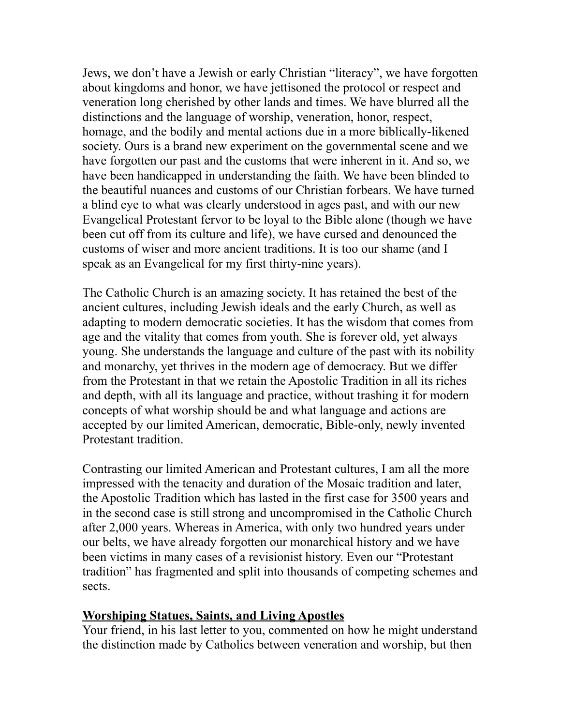Jews, we don't have a Jewish or early Christian "literacy", we have forgotten about kingdoms and honor, we have jettisoned the protocol or respect and veneration long cherished by other lands and times. We have blurred all the distinctions and the language of worship, veneration, honor, respect, homage, and the bodily and mental actions due in a more biblically-likened society. Ours is a brand new experiment on the governmental scene and we have forgotten our past and the customs that were inherent in it. And so, we have been handicapped in understanding the faith. We have been blinded to the beautiful nuances and customs of our Christian forbears. We have turned a blind eye to what was clearly understood in ages past, and with our new Evangelical Protestant fervor to be loyal to the Bible alone (though we have been cut off from its culture and life), we have cursed and denounced the customs of wiser and more ancient traditions. It is too our shame (and I speak as an Evangelical for my first thirty-nine years).

The Catholic Church is an amazing society. It has retained the best of the ancient cultures, including Jewish ideals and the early Church, as well as adapting to modern democratic societies. It has the wisdom that comes from age and the vitality that comes from youth. She is forever old, yet always young. She understands the language and culture of the past with its nobility and monarchy, yet thrives in the modern age of democracy. But we differ from the Protestant in that we retain the Apostolic Tradition in all its riches and depth, with all its language and practice, without trashing it for modern concepts of what worship should be and what language and actions are accepted by our limited American, democratic, Bible-only, newly invented Protestant tradition.

Contrasting our limited American and Protestant cultures, I am all the more impressed with the tenacity and duration of the Mosaic tradition and later, the Apostolic Tradition which has lasted in the first case for 3500 years and in the second case is still strong and uncompromised in the Catholic Church after 2,000 years. Whereas in America, with only two hundred years under our belts, we have already forgotten our monarchical history and we have been victims in many cases of a revisionist history. Even our "Protestant tradition" has fragmented and split into thousands of competing schemes and sects.

#### **Worshiping Statues, Saints, and Living Apostles**

Your friend, in his last letter to you, commented on how he might understand the distinction made by Catholics between veneration and worship, but then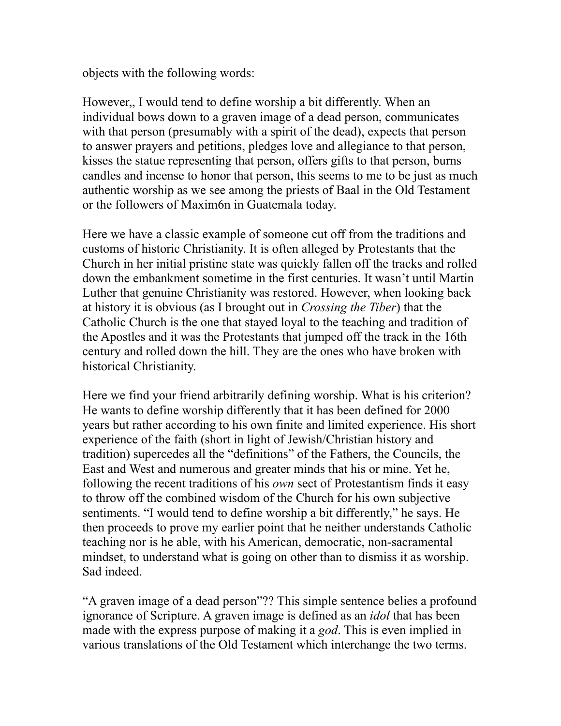objects with the following words:

However,, I would tend to define worship a bit differently. When an individual bows down to a graven image of a dead person, communicates with that person (presumably with a spirit of the dead), expects that person to answer prayers and petitions, pledges love and allegiance to that person, kisses the statue representing that person, offers gifts to that person, burns candles and incense to honor that person, this seems to me to be just as much authentic worship as we see among the priests of Baal in the Old Testament or the followers of Maxim6n in Guatemala today.

Here we have a classic example of someone cut off from the traditions and customs of historic Christianity. It is often alleged by Protestants that the Church in her initial pristine state was quickly fallen off the tracks and rolled down the embankment sometime in the first centuries. It wasn't until Martin Luther that genuine Christianity was restored. However, when looking back at history it is obvious (as I brought out in *Crossing the Tiber*) that the Catholic Church is the one that stayed loyal to the teaching and tradition of the Apostles and it was the Protestants that jumped off the track in the 16th century and rolled down the hill. They are the ones who have broken with historical Christianity.

Here we find your friend arbitrarily defining worship. What is his criterion? He wants to define worship differently that it has been defined for 2000 years but rather according to his own finite and limited experience. His short experience of the faith (short in light of Jewish/Christian history and tradition) supercedes all the "definitions" of the Fathers, the Councils, the East and West and numerous and greater minds that his or mine. Yet he, following the recent traditions of his *own* sect of Protestantism finds it easy to throw off the combined wisdom of the Church for his own subjective sentiments. "I would tend to define worship a bit differently," he says. He then proceeds to prove my earlier point that he neither understands Catholic teaching nor is he able, with his American, democratic, non-sacramental mindset, to understand what is going on other than to dismiss it as worship. Sad indeed.

"A graven image of a dead person"?? This simple sentence belies a profound ignorance of Scripture. A graven image is defined as an *idol* that has been made with the express purpose of making it a *god*. This is even implied in various translations of the Old Testament which interchange the two terms.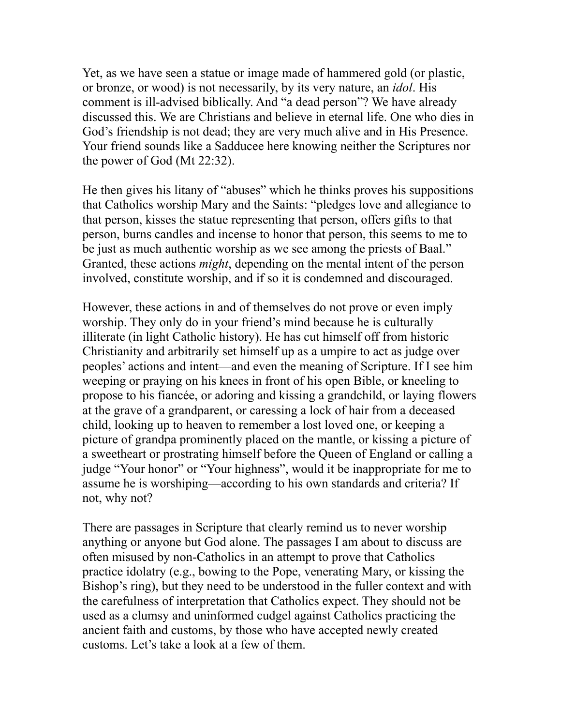Yet, as we have seen a statue or image made of hammered gold (or plastic, or bronze, or wood) is not necessarily, by its very nature, an *idol*. His comment is ill-advised biblically. And "a dead person"? We have already discussed this. We are Christians and believe in eternal life. One who dies in God's friendship is not dead; they are very much alive and in His Presence. Your friend sounds like a Sadducee here knowing neither the Scriptures nor the power of God (Mt 22:32).

He then gives his litany of "abuses" which he thinks proves his suppositions that Catholics worship Mary and the Saints: "pledges love and allegiance to that person, kisses the statue representing that person, offers gifts to that person, burns candles and incense to honor that person, this seems to me to be just as much authentic worship as we see among the priests of Baal." Granted, these actions *might*, depending on the mental intent of the person involved, constitute worship, and if so it is condemned and discouraged.

However, these actions in and of themselves do not prove or even imply worship. They only do in your friend's mind because he is culturally illiterate (in light Catholic history). He has cut himself off from historic Christianity and arbitrarily set himself up as a umpire to act as judge over peoples' actions and intent—and even the meaning of Scripture. If I see him weeping or praying on his knees in front of his open Bible, or kneeling to propose to his fiancée, or adoring and kissing a grandchild, or laying flowers at the grave of a grandparent, or caressing a lock of hair from a deceased child, looking up to heaven to remember a lost loved one, or keeping a picture of grandpa prominently placed on the mantle, or kissing a picture of a sweetheart or prostrating himself before the Queen of England or calling a judge "Your honor" or "Your highness", would it be inappropriate for me to assume he is worshiping—according to his own standards and criteria? If not, why not?

There are passages in Scripture that clearly remind us to never worship anything or anyone but God alone. The passages I am about to discuss are often misused by non-Catholics in an attempt to prove that Catholics practice idolatry (e.g., bowing to the Pope, venerating Mary, or kissing the Bishop's ring), but they need to be understood in the fuller context and with the carefulness of interpretation that Catholics expect. They should not be used as a clumsy and uninformed cudgel against Catholics practicing the ancient faith and customs, by those who have accepted newly created customs. Let's take a look at a few of them.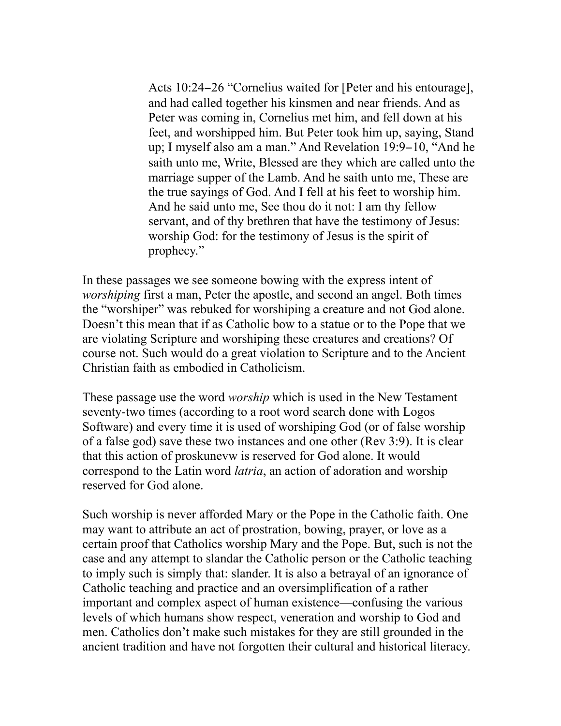Acts 10:24−26 "Cornelius waited for [Peter and his entourage], and had called together his kinsmen and near friends. And as Peter was coming in, Cornelius met him, and fell down at his feet, and worshipped him. But Peter took him up, saying, Stand up; I myself also am a man." And Revelation 19:9−10, "And he saith unto me, Write, Blessed are they which are called unto the marriage supper of the Lamb. And he saith unto me, These are the true sayings of God. And I fell at his feet to worship him. And he said unto me, See thou do it not: I am thy fellow servant, and of thy brethren that have the testimony of Jesus: worship God: for the testimony of Jesus is the spirit of prophecy."

In these passages we see someone bowing with the express intent of *worshiping* first a man, Peter the apostle, and second an angel. Both times the "worshiper" was rebuked for worshiping a creature and not God alone. Doesn't this mean that if as Catholic bow to a statue or to the Pope that we are violating Scripture and worshiping these creatures and creations? Of course not. Such would do a great violation to Scripture and to the Ancient Christian faith as embodied in Catholicism.

These passage use the word *worship* which is used in the New Testament seventy-two times (according to a root word search done with Logos Software) and every time it is used of worshiping God (or of false worship of a false god) save these two instances and one other (Rev 3:9). It is clear that this action of proskunevw is reserved for God alone. It would correspond to the Latin word *latria*, an action of adoration and worship reserved for God alone.

Such worship is never afforded Mary or the Pope in the Catholic faith. One may want to attribute an act of prostration, bowing, prayer, or love as a certain proof that Catholics worship Mary and the Pope. But, such is not the case and any attempt to slandar the Catholic person or the Catholic teaching to imply such is simply that: slander. It is also a betrayal of an ignorance of Catholic teaching and practice and an oversimplification of a rather important and complex aspect of human existence—confusing the various levels of which humans show respect, veneration and worship to God and men. Catholics don't make such mistakes for they are still grounded in the ancient tradition and have not forgotten their cultural and historical literacy.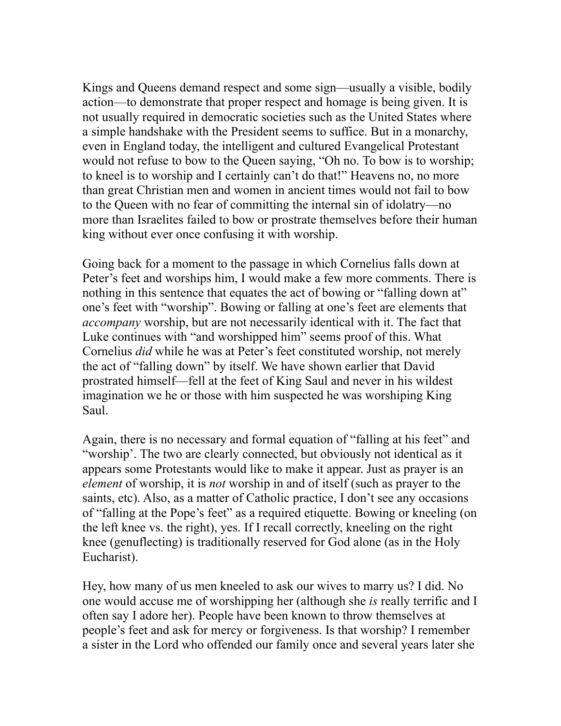Kings and Queens demand respect and some sign—usually a visible, bodily action—to demonstrate that proper respect and homage is being given. It is not usually required in democratic societies such as the United States where a simple handshake with the President seems to suffice. But in a monarchy, even in England today, the intelligent and cultured Evangelical Protestant would not refuse to bow to the Queen saying, "Oh no. To bow is to worship; to kneel is to worship and I certainly can't do that!" Heavens no, no more than great Christian men and women in ancient times would not fail to bow to the Queen with no fear of committing the internal sin of idolatry—no more than Israelites failed to bow or prostrate themselves before their human king without ever once confusing it with worship.

Going back for a moment to the passage in which Cornelius falls down at Peter's feet and worships him, I would make a few more comments. There is nothing in this sentence that equates the act of bowing or "falling down at" one's feet with "worship". Bowing or falling at one's feet are elements that *accompany* worship, but are not necessarily identical with it. The fact that Luke continues with "and worshipped him" seems proof of this. What Cornelius *did* while he was at Peter's feet constituted worship, not merely the act of "falling down" by itself. We have shown earlier that David prostrated himself—fell at the feet of King Saul and never in his wildest imagination we he or those with him suspected he was worshiping King Saul.

Again, there is no necessary and formal equation of "falling at his feet" and "worship'. The two are clearly connected, but obviously not identical as it appears some Protestants would like to make it appear. Just as prayer is an *element* of worship, it is *not* worship in and of itself (such as prayer to the saints, etc). Also, as a matter of Catholic practice, I don't see any occasions of "falling at the Pope's feet" as a required etiquette. Bowing or kneeling (on the left knee vs. the right), yes. If I recall correctly, kneeling on the right knee (genuflecting) is traditionally reserved for God alone (as in the Holy Eucharist).

Hey, how many of us men kneeled to ask our wives to marry us? I did. No one would accuse me of worshipping her (although she *is* really terrific and I often say I adore her). People have been known to throw themselves at people's feet and ask for mercy or forgiveness. Is that worship? I remember a sister in the Lord who offended our family once and several years later she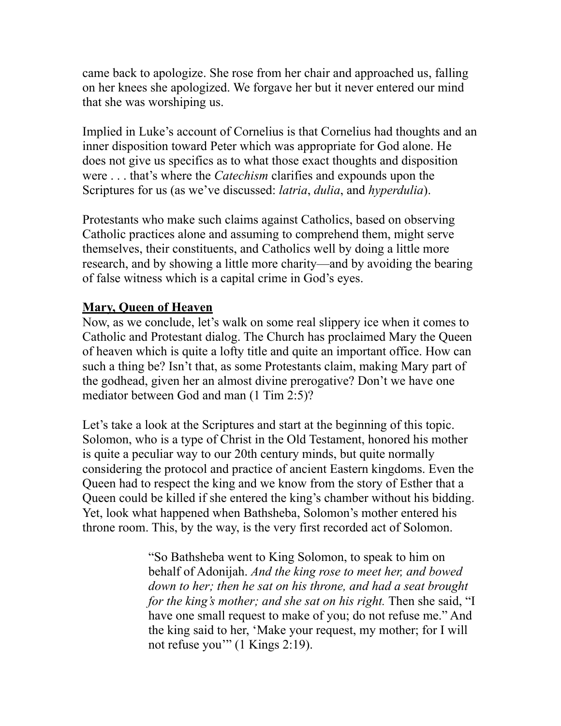came back to apologize. She rose from her chair and approached us, falling on her knees she apologized. We forgave her but it never entered our mind that she was worshiping us.

Implied in Luke's account of Cornelius is that Cornelius had thoughts and an inner disposition toward Peter which was appropriate for God alone. He does not give us specifics as to what those exact thoughts and disposition were . . . that's where the *Catechism* clarifies and expounds upon the Scriptures for us (as we've discussed: *latria*, *dulia*, and *hyperdulia*).

Protestants who make such claims against Catholics, based on observing Catholic practices alone and assuming to comprehend them, might serve themselves, their constituents, and Catholics well by doing a little more research, and by showing a little more charity—and by avoiding the bearing of false witness which is a capital crime in God's eyes.

### **Mary, Queen of Heaven**

Now, as we conclude, let's walk on some real slippery ice when it comes to Catholic and Protestant dialog. The Church has proclaimed Mary the Queen of heaven which is quite a lofty title and quite an important office. How can such a thing be? Isn't that, as some Protestants claim, making Mary part of the godhead, given her an almost divine prerogative? Don't we have one mediator between God and man (1 Tim 2:5)?

Let's take a look at the Scriptures and start at the beginning of this topic. Solomon, who is a type of Christ in the Old Testament, honored his mother is quite a peculiar way to our 20th century minds, but quite normally considering the protocol and practice of ancient Eastern kingdoms. Even the Queen had to respect the king and we know from the story of Esther that a Queen could be killed if she entered the king's chamber without his bidding. Yet, look what happened when Bathsheba, Solomon's mother entered his throne room. This, by the way, is the very first recorded act of Solomon.

> "So Bathsheba went to King Solomon, to speak to him on behalf of Adonijah. *And the king rose to meet her, and bowed down to her; then he sat on his throne, and had a seat brought for the king's mother; and she sat on his right.* Then she said, "I have one small request to make of you; do not refuse me." And the king said to her, 'Make your request, my mother; for I will not refuse you" (1 Kings 2:19).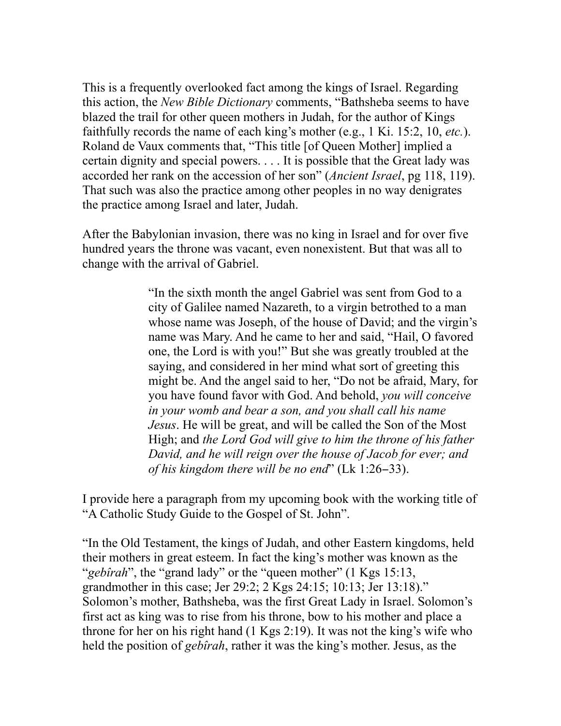This is a frequently overlooked fact among the kings of Israel. Regarding this action, the *New Bible Dictionary* comments, "Bathsheba seems to have blazed the trail for other queen mothers in Judah, for the author of Kings faithfully records the name of each king's mother (e.g., 1 Ki. 15:2, 10, *etc.*). Roland de Vaux comments that, "This title [of Queen Mother] implied a certain dignity and special powers. . . . It is possible that the Great lady was accorded her rank on the accession of her son" (*Ancient Israel*, pg 118, 119). That such was also the practice among other peoples in no way denigrates the practice among Israel and later, Judah.

After the Babylonian invasion, there was no king in Israel and for over five hundred years the throne was vacant, even nonexistent. But that was all to change with the arrival of Gabriel.

> "In the sixth month the angel Gabriel was sent from God to a city of Galilee named Nazareth, to a virgin betrothed to a man whose name was Joseph, of the house of David; and the virgin's name was Mary. And he came to her and said, "Hail, O favored one, the Lord is with you!" But she was greatly troubled at the saying, and considered in her mind what sort of greeting this might be. And the angel said to her, "Do not be afraid, Mary, for you have found favor with God. And behold, *you will conceive in your womb and bear a son, and you shall call his name Jesus*. He will be great, and will be called the Son of the Most High; and *the Lord God will give to him the throne of his father David, and he will reign over the house of Jacob for ever; and of his kingdom there will be no end*" (Lk 1:26−33).

I provide here a paragraph from my upcoming book with the working title of "A Catholic Study Guide to the Gospel of St. John".

"In the Old Testament, the kings of Judah, and other Eastern kingdoms, held their mothers in great esteem. In fact the king's mother was known as the "*gebîrah*", the "grand lady" or the "queen mother" (1 Kgs 15:13, grandmother in this case; Jer 29:2; 2 Kgs 24:15; 10:13; Jer 13:18)." Solomon's mother, Bathsheba, was the first Great Lady in Israel. Solomon's first act as king was to rise from his throne, bow to his mother and place a throne for her on his right hand (1 Kgs 2:19). It was not the king's wife who held the position of *gebîrah*, rather it was the king's mother. Jesus, as the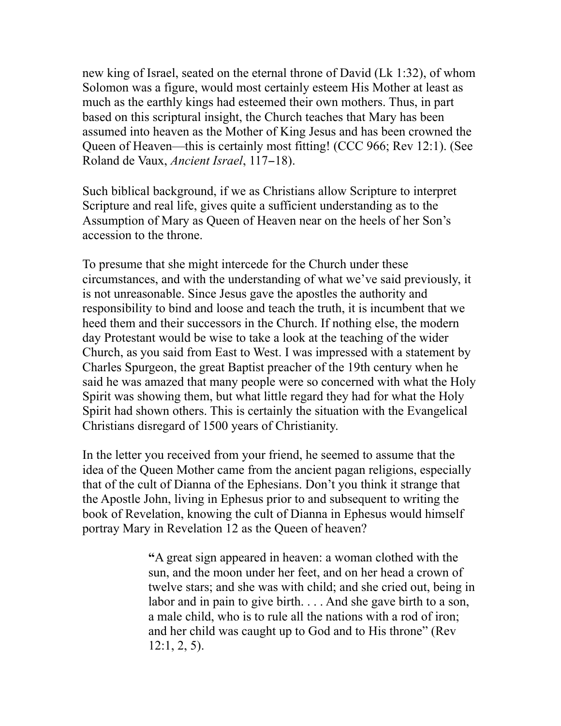new king of Israel, seated on the eternal throne of David (Lk 1:32), of whom Solomon was a figure, would most certainly esteem His Mother at least as much as the earthly kings had esteemed their own mothers. Thus, in part based on this scriptural insight, the Church teaches that Mary has been assumed into heaven as the Mother of King Jesus and has been crowned the Queen of Heaven—this is certainly most fitting! (CCC 966; Rev 12:1). (See Roland de Vaux, *Ancient Israel*, 117−18).

Such biblical background, if we as Christians allow Scripture to interpret Scripture and real life, gives quite a sufficient understanding as to the Assumption of Mary as Queen of Heaven near on the heels of her Son's accession to the throne.

To presume that she might intercede for the Church under these circumstances, and with the understanding of what we've said previously, it is not unreasonable. Since Jesus gave the apostles the authority and responsibility to bind and loose and teach the truth, it is incumbent that we heed them and their successors in the Church. If nothing else, the modern day Protestant would be wise to take a look at the teaching of the wider Church, as you said from East to West. I was impressed with a statement by Charles Spurgeon, the great Baptist preacher of the 19th century when he said he was amazed that many people were so concerned with what the Holy Spirit was showing them, but what little regard they had for what the Holy Spirit had shown others. This is certainly the situation with the Evangelical Christians disregard of 1500 years of Christianity.

In the letter you received from your friend, he seemed to assume that the idea of the Queen Mother came from the ancient pagan religions, especially that of the cult of Dianna of the Ephesians. Don't you think it strange that the Apostle John, living in Ephesus prior to and subsequent to writing the book of Revelation, knowing the cult of Dianna in Ephesus would himself portray Mary in Revelation 12 as the Queen of heaven?

> **"**A great sign appeared in heaven: a woman clothed with the sun, and the moon under her feet, and on her head a crown of twelve stars; and she was with child; and she cried out, being in labor and in pain to give birth. . . . And she gave birth to a son, a male child, who is to rule all the nations with a rod of iron; and her child was caught up to God and to His throne" (Rev  $12:1, 2, 5$ ).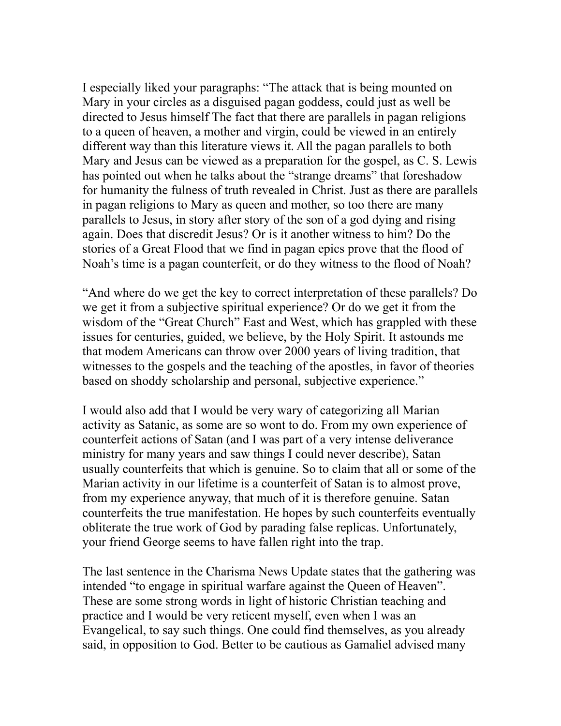I especially liked your paragraphs: "The attack that is being mounted on Mary in your circles as a disguised pagan goddess, could just as well be directed to Jesus himself The fact that there are parallels in pagan religions to a queen of heaven, a mother and virgin, could be viewed in an entirely different way than this literature views it. All the pagan parallels to both Mary and Jesus can be viewed as a preparation for the gospel, as C. S. Lewis has pointed out when he talks about the "strange dreams" that foreshadow for humanity the fulness of truth revealed in Christ. Just as there are parallels in pagan religions to Mary as queen and mother, so too there are many parallels to Jesus, in story after story of the son of a god dying and rising again. Does that discredit Jesus? Or is it another witness to him? Do the stories of a Great Flood that we find in pagan epics prove that the flood of Noah's time is a pagan counterfeit, or do they witness to the flood of Noah?

"And where do we get the key to correct interpretation of these parallels? Do we get it from a subjective spiritual experience? Or do we get it from the wisdom of the "Great Church" East and West, which has grappled with these issues for centuries, guided, we believe, by the Holy Spirit. It astounds me that modem Americans can throw over 2000 years of living tradition, that witnesses to the gospels and the teaching of the apostles, in favor of theories based on shoddy scholarship and personal, subjective experience."

I would also add that I would be very wary of categorizing all Marian activity as Satanic, as some are so wont to do. From my own experience of counterfeit actions of Satan (and I was part of a very intense deliverance ministry for many years and saw things I could never describe), Satan usually counterfeits that which is genuine. So to claim that all or some of the Marian activity in our lifetime is a counterfeit of Satan is to almost prove, from my experience anyway, that much of it is therefore genuine. Satan counterfeits the true manifestation. He hopes by such counterfeits eventually obliterate the true work of God by parading false replicas. Unfortunately, your friend George seems to have fallen right into the trap.

The last sentence in the Charisma News Update states that the gathering was intended "to engage in spiritual warfare against the Queen of Heaven". These are some strong words in light of historic Christian teaching and practice and I would be very reticent myself, even when I was an Evangelical, to say such things. One could find themselves, as you already said, in opposition to God. Better to be cautious as Gamaliel advised many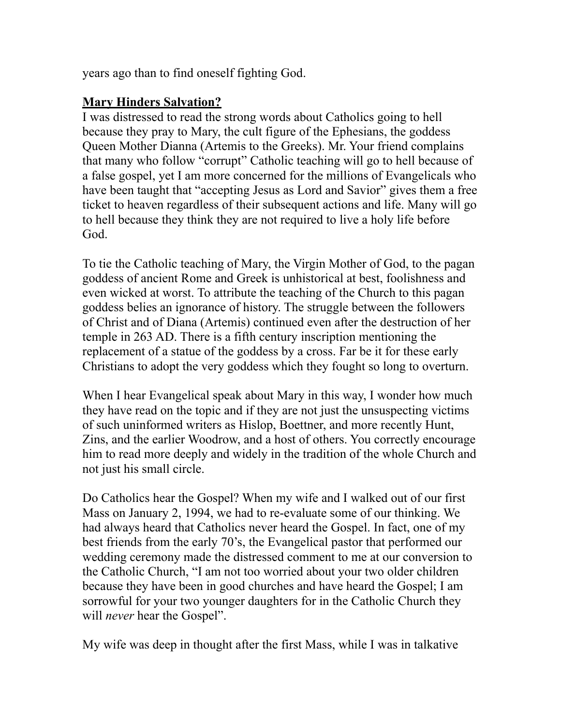years ago than to find oneself fighting God.

## **Mary Hinders Salvation?**

I was distressed to read the strong words about Catholics going to hell because they pray to Mary, the cult figure of the Ephesians, the goddess Queen Mother Dianna (Artemis to the Greeks). Mr. Your friend complains that many who follow "corrupt" Catholic teaching will go to hell because of a false gospel, yet I am more concerned for the millions of Evangelicals who have been taught that "accepting Jesus as Lord and Savior" gives them a free ticket to heaven regardless of their subsequent actions and life. Many will go to hell because they think they are not required to live a holy life before God.

To tie the Catholic teaching of Mary, the Virgin Mother of God, to the pagan goddess of ancient Rome and Greek is unhistorical at best, foolishness and even wicked at worst. To attribute the teaching of the Church to this pagan goddess belies an ignorance of history. The struggle between the followers of Christ and of Diana (Artemis) continued even after the destruction of her temple in 263 AD. There is a fifth century inscription mentioning the replacement of a statue of the goddess by a cross. Far be it for these early Christians to adopt the very goddess which they fought so long to overturn.

When I hear Evangelical speak about Mary in this way, I wonder how much they have read on the topic and if they are not just the unsuspecting victims of such uninformed writers as Hislop, Boettner, and more recently Hunt, Zins, and the earlier Woodrow, and a host of others. You correctly encourage him to read more deeply and widely in the tradition of the whole Church and not just his small circle.

Do Catholics hear the Gospel? When my wife and I walked out of our first Mass on January 2, 1994, we had to re-evaluate some of our thinking. We had always heard that Catholics never heard the Gospel. In fact, one of my best friends from the early 70's, the Evangelical pastor that performed our wedding ceremony made the distressed comment to me at our conversion to the Catholic Church, "I am not too worried about your two older children because they have been in good churches and have heard the Gospel; I am sorrowful for your two younger daughters for in the Catholic Church they will *never* hear the Gospel".

My wife was deep in thought after the first Mass, while I was in talkative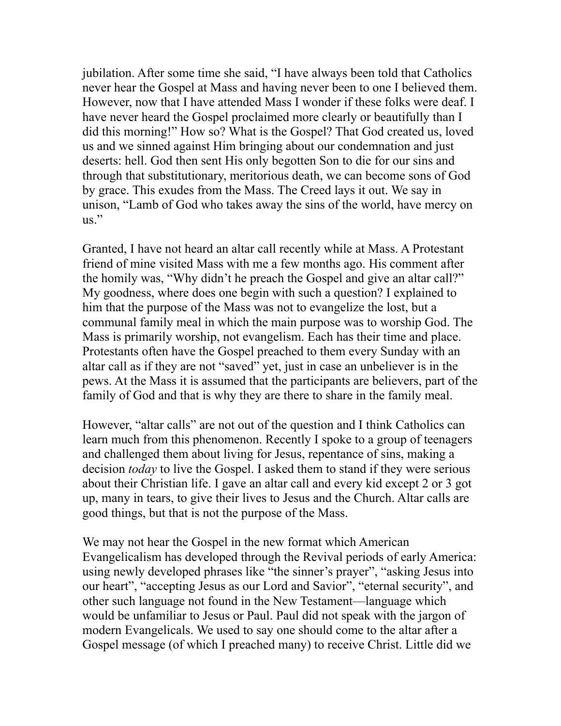jubilation. After some time she said, "I have always been told that Catholics never hear the Gospel at Mass and having never been to one I believed them. However, now that I have attended Mass I wonder if these folks were deaf. I have never heard the Gospel proclaimed more clearly or beautifully than I did this morning!" How so? What is the Gospel? That God created us, loved us and we sinned against Him bringing about our condemnation and just deserts: hell. God then sent His only begotten Son to die for our sins and through that substitutionary, meritorious death, we can become sons of God by grace. This exudes from the Mass. The Creed lays it out. We say in unison, "Lamb of God who takes away the sins of the world, have mercy on us."

Granted, I have not heard an altar call recently while at Mass. A Protestant friend of mine visited Mass with me a few months ago. His comment after the homily was, "Why didn't he preach the Gospel and give an altar call?" My goodness, where does one begin with such a question? I explained to him that the purpose of the Mass was not to evangelize the lost, but a communal family meal in which the main purpose was to worship God. The Mass is primarily worship, not evangelism. Each has their time and place. Protestants often have the Gospel preached to them every Sunday with an altar call as if they are not "saved" yet, just in case an unbeliever is in the pews. At the Mass it is assumed that the participants are believers, part of the family of God and that is why they are there to share in the family meal.

However, "altar calls" are not out of the question and I think Catholics can learn much from this phenomenon. Recently I spoke to a group of teenagers and challenged them about living for Jesus, repentance of sins, making a decision *today* to live the Gospel. I asked them to stand if they were serious about their Christian life. I gave an altar call and every kid except 2 or 3 got up, many in tears, to give their lives to Jesus and the Church. Altar calls are good things, but that is not the purpose of the Mass.

We may not hear the Gospel in the new format which American Evangelicalism has developed through the Revival periods of early America: using newly developed phrases like "the sinner's prayer", "asking Jesus into our heart", "accepting Jesus as our Lord and Savior", "eternal security", and other such language not found in the New Testament—language which would be unfamiliar to Jesus or Paul. Paul did not speak with the jargon of modern Evangelicals. We used to say one should come to the altar after a Gospel message (of which I preached many) to receive Christ. Little did we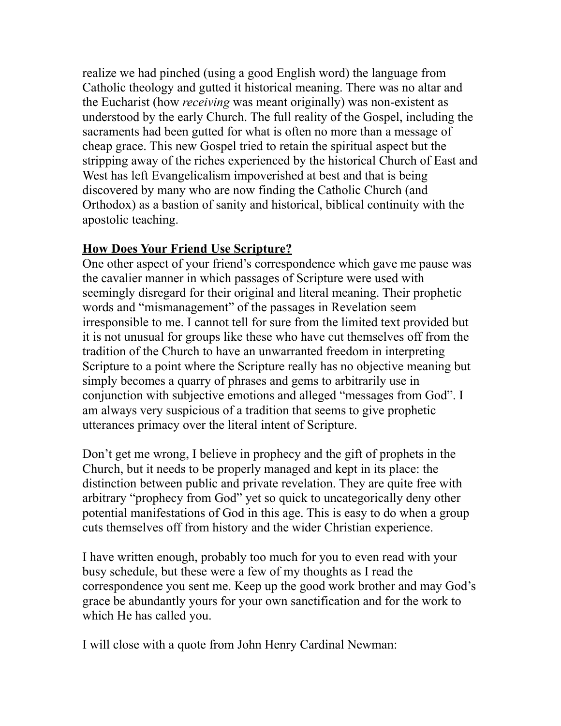realize we had pinched (using a good English word) the language from Catholic theology and gutted it historical meaning. There was no altar and the Eucharist (how *receiving* was meant originally) was non-existent as understood by the early Church. The full reality of the Gospel, including the sacraments had been gutted for what is often no more than a message of cheap grace. This new Gospel tried to retain the spiritual aspect but the stripping away of the riches experienced by the historical Church of East and West has left Evangelicalism impoverished at best and that is being discovered by many who are now finding the Catholic Church (and Orthodox) as a bastion of sanity and historical, biblical continuity with the apostolic teaching.

## **How Does Your Friend Use Scripture?**

One other aspect of your friend's correspondence which gave me pause was the cavalier manner in which passages of Scripture were used with seemingly disregard for their original and literal meaning. Their prophetic words and "mismanagement" of the passages in Revelation seem irresponsible to me. I cannot tell for sure from the limited text provided but it is not unusual for groups like these who have cut themselves off from the tradition of the Church to have an unwarranted freedom in interpreting Scripture to a point where the Scripture really has no objective meaning but simply becomes a quarry of phrases and gems to arbitrarily use in conjunction with subjective emotions and alleged "messages from God". I am always very suspicious of a tradition that seems to give prophetic utterances primacy over the literal intent of Scripture.

Don't get me wrong, I believe in prophecy and the gift of prophets in the Church, but it needs to be properly managed and kept in its place: the distinction between public and private revelation. They are quite free with arbitrary "prophecy from God" yet so quick to uncategorically deny other potential manifestations of God in this age. This is easy to do when a group cuts themselves off from history and the wider Christian experience.

I have written enough, probably too much for you to even read with your busy schedule, but these were a few of my thoughts as I read the correspondence you sent me. Keep up the good work brother and may God's grace be abundantly yours for your own sanctification and for the work to which He has called you.

I will close with a quote from John Henry Cardinal Newman: